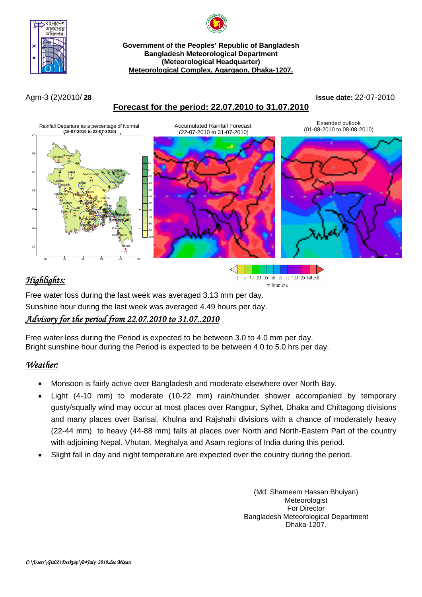



#### **Government of the Peoples' Republic of Bangladesh Bangladesh Meteorological Department (Meteorological Headquarter) Meteorological Complex, Agargaon, Dhaka-1207.**

## **Forecast for the period: 22.07.2010 to 31.07.2010**

Agm-3 (2)/2010/ **28 Issue date:** 22-07-2010



# *Highlights:*



Free water loss during the last week was averaged 3.13 mm per day. Sunshine hour during the last week was averaged 4.49 hours per day.

# *Advisory for the period from 22.07.2010 to 31.07..2010*

Free water loss during the Period is expected to be between 3.0 to 4.0 mm per day. Bright sunshine hour during the Period is expected to be between 4.0 to 5.0 hrs per day.

### *Weather:*

- Monsoon is fairly active over Bangladesh and moderate elsewhere over North Bay.
- Light (4-10 mm) to moderate (10-22 mm) rain/thunder shower accompanied by temporary gusty/squally wind may occur at most places over Rangpur, Sylhet, Dhaka and Chittagong divisions and many places over Barisal, Khulna and Rajshahi divisions with a chance of moderately heavy (22-44 mm) to heavy (44-88 mm) falls at places over North and North-Eastern Part of the country with adjoining Nepal, Vhutan, Meghalya and Asam regions of India during this period.
- Slight fall in day and night temperature are expected over the country during the period.

(Md. Shameem Hassan Bhuiyan) Meteorologist For Director Bangladesh Meteorological Department Dhaka-1207.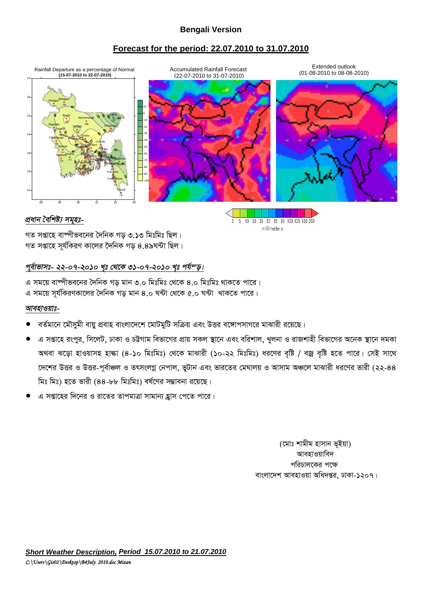### **Bengali Version**

#### **Forecast for the period: 22.07.2010 to 31.07.2010**



2 5 10 20 35 50 65 80 100 125 150 200 millimeters

#### *প্ৰধান বৈশিষ্ট্য সমুহঃ-*

গত সপ্তাহে বাষ্পীভবনের দৈনিক গড ৩.১৩ মিঃমিঃ ছিল। গত সপ্তাহে সর্যকিরণ কালের দৈনিক গড ৪.৪৯ঘন্টা ছিল।

#### পূর্বাভাসঃ- ২২-০৭-২০১০ খৃঃ থেকে ৩১-০৭-২০১০ খৃঃ পর্য<sup>ন</sup>ড়।

এ সময়ে বাম্পীভবনের দৈনিক গড মান ৩.০ মিঃমিঃ থেকে ৪.০ মিঃমিঃ থাকতে পারে। এ সময়ে সূর্যকিরণকালের দৈনিক গড় মান ৪.০ ঘন্টা থেকে ৫.০ ঘন্টা থাকতে পারে।

#### *আবহাওয়াঃ-*

- বর্তমানে মৌসুমী বায়ু প্রবাহ বাংলাদেশে মোটমুটি সক্রিয় এবং উত্তর বঙ্গোপসাগরে মাঝারী রয়েছে।
- এ সপ্তাহে রংপুর, সিলেট, ঢাকা ও চট্টগাম বিভাগের প্রায় সকল স্থানে এবং বরিশাল, খুলনা ও রাজশাহী বিভাগের অনেক স্থানে দমকা অথবা ঝড়ো হাওয়াসহ হাল্কা (৪-১০ মিঃমিঃ) থেকে মাঝারী (১০-২২ মিঃমিঃ) ধরণের বৃষ্টি / বজ্র বৃষ্টি হতে পারে। সেই সাথে দেশের উত্তর ও উত্তর-পূর্বাঞ্চল ও তৎসংলগ্ন নেপাল, ভুটান এবং ভারতের মেঘালয় ও আসাম অঞ্চলে মাঝারী ধরণের ভারী (২২-৪৪ মিঃ মিঃ) হতে ভারী (৪৪-৮৮ মিঃমিঃ) বর্ষণের সম্ভাবনা রয়েছে।
- এ সপ্তাহের দিনের ও রাতের তাপমাত্রা সামান্য হ্রাস পেতে পারে।

(মোঃ শামীম হাসান ভূইয়া) আবহাওয়াবিদ পরিচালকের পক্ষে বাংলাদেশ আবহাওয়া অধিদপ্তর, ঢাকা-১২০৭।